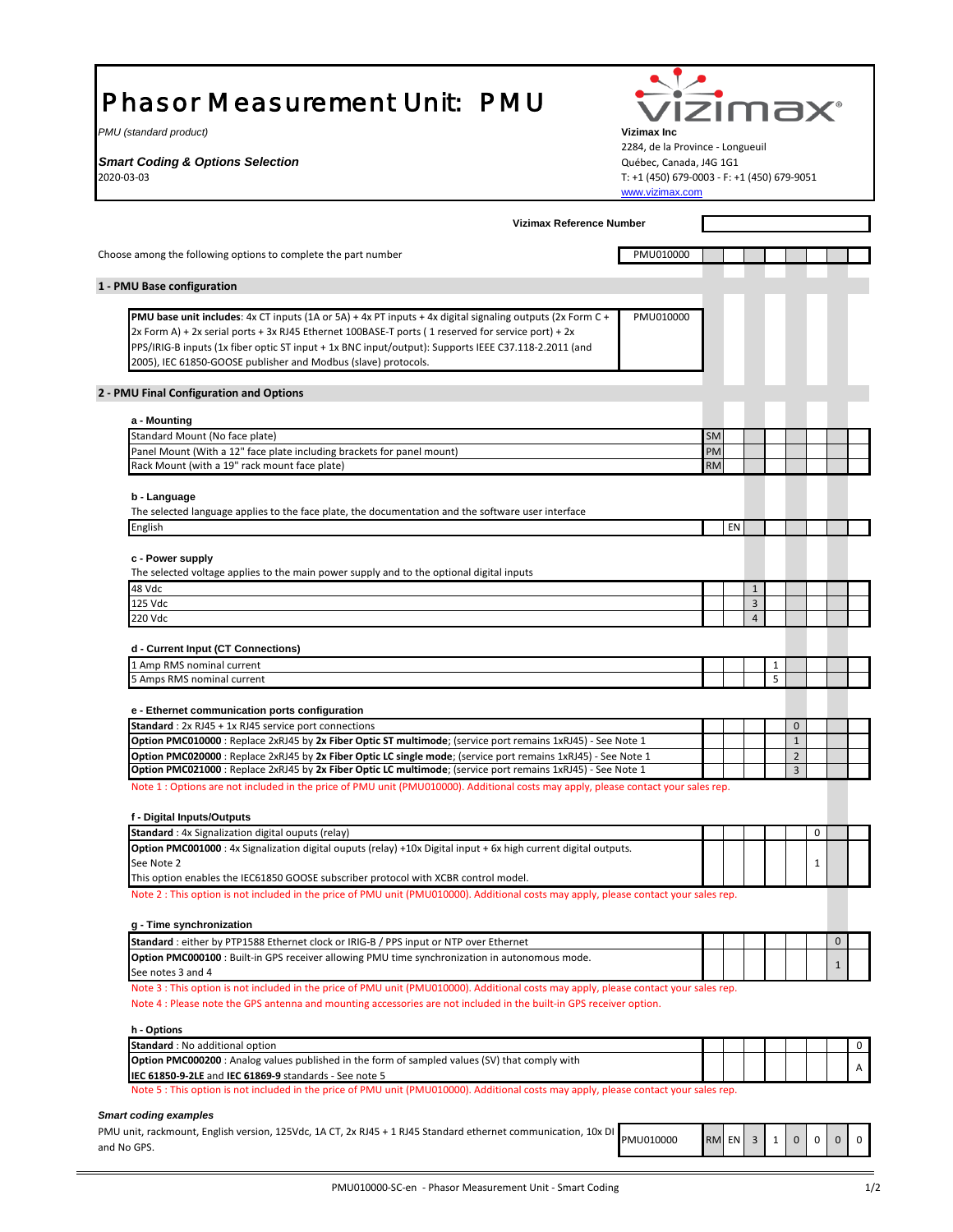# Phasor Measurement Unit: PMU

*PMU (standard product)* **Vizimax Inc**

**Smart Coding & Options Selection Contract Constant Coding & Options Selection** Cuébec, Canada, J4G 1G1



2284, de la Province - Longueuil 2020-03-03 T: +1 (450) 679-0003 - F: +1 (450) 679-9051 [www.vizimax.com](http://www.vizimax.com/)

| Choose among the following options to complete the part number<br>1 - PMU Base configuration<br>PMU base unit includes: 4x CT inputs (1A or 5A) + 4x PT inputs + 4x digital signaling outputs (2x Form C +<br>2x Form A) + 2x serial ports + 3x RJ45 Ethernet 100BASE-T ports (1 reserved for service port) + 2x<br>PPS/IRIG-B inputs (1x fiber optic ST input + 1x BNC input/output): Supports IEEE C37.118-2.2011 (and<br>2005), IEC 61850-GOOSE publisher and Modbus (slave) protocols.<br>2 - PMU Final Configuration and Options<br>a - Mounting<br>Standard Mount (No face plate)<br>Panel Mount (With a 12" face plate including brackets for panel mount)<br>Rack Mount (with a 19" rack mount face plate)<br>b - Language<br>The selected language applies to the face plate, the documentation and the software user interface<br>English<br>c - Power supply<br>The selected voltage applies to the main power supply and to the optional digital inputs<br>48 Vdc<br>125 Vdc<br>220 Vdc<br>d - Current Input (CT Connections)<br>1 Amp RMS nominal current<br>5 Amps RMS nominal current<br>e - Ethernet communication ports configuration<br><b>Standard</b> : 2x RJ45 + 1x RJ45 service port connections<br>Option PMC010000 : Replace 2xRJ45 by 2x Fiber Optic ST multimode; (service port remains 1xRJ45) - See Note 1<br>Option PMC020000 : Replace 2xRJ45 by 2x Fiber Optic LC single mode; (service port remains 1xRJ45) - See Note 1<br>Option PMC021000 : Replace 2xRJ45 by 2x Fiber Optic LC multimode; (service port remains 1xRJ45) - See Note 1<br>Note 1 : Options are not included in the price of PMU unit (PMU010000). Additional costs may apply, please contact your sales rep.<br>f - Digital Inputs/Outputs<br>Standard : 4x Signalization digital ouputs (relay)<br>Option PMC001000 : 4x Signalization digital ouputs (relay) +10x Digital input + 6x high current digital outputs.<br>See Note 2<br>This option enables the IEC61850 GOOSE subscriber protocol with XCBR control model.<br>Note 2 : This option is not included in the price of PMU unit (PMU010000). Additional costs may apply, please contact your sales rep.<br>g - Time synchronization<br>Standard : either by PTP1588 Ethernet clock or IRIG-B / PPS input or NTP over Ethernet | PMU010000<br>PMU010000 | <b>SM</b><br>PM<br><b>RM</b> |    |                         |   |                |   |              |
|--------------------------------------------------------------------------------------------------------------------------------------------------------------------------------------------------------------------------------------------------------------------------------------------------------------------------------------------------------------------------------------------------------------------------------------------------------------------------------------------------------------------------------------------------------------------------------------------------------------------------------------------------------------------------------------------------------------------------------------------------------------------------------------------------------------------------------------------------------------------------------------------------------------------------------------------------------------------------------------------------------------------------------------------------------------------------------------------------------------------------------------------------------------------------------------------------------------------------------------------------------------------------------------------------------------------------------------------------------------------------------------------------------------------------------------------------------------------------------------------------------------------------------------------------------------------------------------------------------------------------------------------------------------------------------------------------------------------------------------------------------------------------------------------------------------------------------------------------------------------------------------------------------------------------------------------------------------------------------------------------------------------------------------------------------------------------------------------------------------------------------------------------------------------------------------------------------------------------------------------------------------------------------------------|------------------------|------------------------------|----|-------------------------|---|----------------|---|--------------|
|                                                                                                                                                                                                                                                                                                                                                                                                                                                                                                                                                                                                                                                                                                                                                                                                                                                                                                                                                                                                                                                                                                                                                                                                                                                                                                                                                                                                                                                                                                                                                                                                                                                                                                                                                                                                                                                                                                                                                                                                                                                                                                                                                                                                                                                                                            |                        |                              |    |                         |   |                |   |              |
|                                                                                                                                                                                                                                                                                                                                                                                                                                                                                                                                                                                                                                                                                                                                                                                                                                                                                                                                                                                                                                                                                                                                                                                                                                                                                                                                                                                                                                                                                                                                                                                                                                                                                                                                                                                                                                                                                                                                                                                                                                                                                                                                                                                                                                                                                            |                        |                              |    |                         |   |                |   |              |
|                                                                                                                                                                                                                                                                                                                                                                                                                                                                                                                                                                                                                                                                                                                                                                                                                                                                                                                                                                                                                                                                                                                                                                                                                                                                                                                                                                                                                                                                                                                                                                                                                                                                                                                                                                                                                                                                                                                                                                                                                                                                                                                                                                                                                                                                                            |                        |                              |    |                         |   |                |   |              |
|                                                                                                                                                                                                                                                                                                                                                                                                                                                                                                                                                                                                                                                                                                                                                                                                                                                                                                                                                                                                                                                                                                                                                                                                                                                                                                                                                                                                                                                                                                                                                                                                                                                                                                                                                                                                                                                                                                                                                                                                                                                                                                                                                                                                                                                                                            |                        |                              |    |                         |   |                |   |              |
|                                                                                                                                                                                                                                                                                                                                                                                                                                                                                                                                                                                                                                                                                                                                                                                                                                                                                                                                                                                                                                                                                                                                                                                                                                                                                                                                                                                                                                                                                                                                                                                                                                                                                                                                                                                                                                                                                                                                                                                                                                                                                                                                                                                                                                                                                            |                        |                              |    |                         |   |                |   |              |
|                                                                                                                                                                                                                                                                                                                                                                                                                                                                                                                                                                                                                                                                                                                                                                                                                                                                                                                                                                                                                                                                                                                                                                                                                                                                                                                                                                                                                                                                                                                                                                                                                                                                                                                                                                                                                                                                                                                                                                                                                                                                                                                                                                                                                                                                                            |                        |                              |    |                         |   |                |   |              |
|                                                                                                                                                                                                                                                                                                                                                                                                                                                                                                                                                                                                                                                                                                                                                                                                                                                                                                                                                                                                                                                                                                                                                                                                                                                                                                                                                                                                                                                                                                                                                                                                                                                                                                                                                                                                                                                                                                                                                                                                                                                                                                                                                                                                                                                                                            |                        |                              |    |                         |   |                |   |              |
|                                                                                                                                                                                                                                                                                                                                                                                                                                                                                                                                                                                                                                                                                                                                                                                                                                                                                                                                                                                                                                                                                                                                                                                                                                                                                                                                                                                                                                                                                                                                                                                                                                                                                                                                                                                                                                                                                                                                                                                                                                                                                                                                                                                                                                                                                            |                        |                              |    |                         |   |                |   |              |
|                                                                                                                                                                                                                                                                                                                                                                                                                                                                                                                                                                                                                                                                                                                                                                                                                                                                                                                                                                                                                                                                                                                                                                                                                                                                                                                                                                                                                                                                                                                                                                                                                                                                                                                                                                                                                                                                                                                                                                                                                                                                                                                                                                                                                                                                                            |                        |                              |    |                         |   |                |   |              |
|                                                                                                                                                                                                                                                                                                                                                                                                                                                                                                                                                                                                                                                                                                                                                                                                                                                                                                                                                                                                                                                                                                                                                                                                                                                                                                                                                                                                                                                                                                                                                                                                                                                                                                                                                                                                                                                                                                                                                                                                                                                                                                                                                                                                                                                                                            |                        |                              |    |                         |   |                |   |              |
|                                                                                                                                                                                                                                                                                                                                                                                                                                                                                                                                                                                                                                                                                                                                                                                                                                                                                                                                                                                                                                                                                                                                                                                                                                                                                                                                                                                                                                                                                                                                                                                                                                                                                                                                                                                                                                                                                                                                                                                                                                                                                                                                                                                                                                                                                            |                        |                              | EN |                         |   |                |   |              |
|                                                                                                                                                                                                                                                                                                                                                                                                                                                                                                                                                                                                                                                                                                                                                                                                                                                                                                                                                                                                                                                                                                                                                                                                                                                                                                                                                                                                                                                                                                                                                                                                                                                                                                                                                                                                                                                                                                                                                                                                                                                                                                                                                                                                                                                                                            |                        |                              |    |                         |   |                |   |              |
|                                                                                                                                                                                                                                                                                                                                                                                                                                                                                                                                                                                                                                                                                                                                                                                                                                                                                                                                                                                                                                                                                                                                                                                                                                                                                                                                                                                                                                                                                                                                                                                                                                                                                                                                                                                                                                                                                                                                                                                                                                                                                                                                                                                                                                                                                            |                        |                              |    |                         |   |                |   |              |
|                                                                                                                                                                                                                                                                                                                                                                                                                                                                                                                                                                                                                                                                                                                                                                                                                                                                                                                                                                                                                                                                                                                                                                                                                                                                                                                                                                                                                                                                                                                                                                                                                                                                                                                                                                                                                                                                                                                                                                                                                                                                                                                                                                                                                                                                                            |                        |                              |    |                         |   |                |   |              |
|                                                                                                                                                                                                                                                                                                                                                                                                                                                                                                                                                                                                                                                                                                                                                                                                                                                                                                                                                                                                                                                                                                                                                                                                                                                                                                                                                                                                                                                                                                                                                                                                                                                                                                                                                                                                                                                                                                                                                                                                                                                                                                                                                                                                                                                                                            |                        |                              |    | $\mathbf{1}$            |   |                |   |              |
|                                                                                                                                                                                                                                                                                                                                                                                                                                                                                                                                                                                                                                                                                                                                                                                                                                                                                                                                                                                                                                                                                                                                                                                                                                                                                                                                                                                                                                                                                                                                                                                                                                                                                                                                                                                                                                                                                                                                                                                                                                                                                                                                                                                                                                                                                            |                        |                              |    | $\overline{\mathbf{3}}$ |   |                |   |              |
|                                                                                                                                                                                                                                                                                                                                                                                                                                                                                                                                                                                                                                                                                                                                                                                                                                                                                                                                                                                                                                                                                                                                                                                                                                                                                                                                                                                                                                                                                                                                                                                                                                                                                                                                                                                                                                                                                                                                                                                                                                                                                                                                                                                                                                                                                            |                        |                              |    | $\overline{4}$          |   |                |   |              |
|                                                                                                                                                                                                                                                                                                                                                                                                                                                                                                                                                                                                                                                                                                                                                                                                                                                                                                                                                                                                                                                                                                                                                                                                                                                                                                                                                                                                                                                                                                                                                                                                                                                                                                                                                                                                                                                                                                                                                                                                                                                                                                                                                                                                                                                                                            |                        |                              |    |                         |   |                |   |              |
|                                                                                                                                                                                                                                                                                                                                                                                                                                                                                                                                                                                                                                                                                                                                                                                                                                                                                                                                                                                                                                                                                                                                                                                                                                                                                                                                                                                                                                                                                                                                                                                                                                                                                                                                                                                                                                                                                                                                                                                                                                                                                                                                                                                                                                                                                            |                        |                              |    |                         | 1 |                |   |              |
|                                                                                                                                                                                                                                                                                                                                                                                                                                                                                                                                                                                                                                                                                                                                                                                                                                                                                                                                                                                                                                                                                                                                                                                                                                                                                                                                                                                                                                                                                                                                                                                                                                                                                                                                                                                                                                                                                                                                                                                                                                                                                                                                                                                                                                                                                            |                        |                              |    |                         | 5 |                |   |              |
|                                                                                                                                                                                                                                                                                                                                                                                                                                                                                                                                                                                                                                                                                                                                                                                                                                                                                                                                                                                                                                                                                                                                                                                                                                                                                                                                                                                                                                                                                                                                                                                                                                                                                                                                                                                                                                                                                                                                                                                                                                                                                                                                                                                                                                                                                            |                        |                              |    |                         |   |                |   |              |
|                                                                                                                                                                                                                                                                                                                                                                                                                                                                                                                                                                                                                                                                                                                                                                                                                                                                                                                                                                                                                                                                                                                                                                                                                                                                                                                                                                                                                                                                                                                                                                                                                                                                                                                                                                                                                                                                                                                                                                                                                                                                                                                                                                                                                                                                                            |                        |                              |    |                         |   | $\mathbf{0}$   |   |              |
|                                                                                                                                                                                                                                                                                                                                                                                                                                                                                                                                                                                                                                                                                                                                                                                                                                                                                                                                                                                                                                                                                                                                                                                                                                                                                                                                                                                                                                                                                                                                                                                                                                                                                                                                                                                                                                                                                                                                                                                                                                                                                                                                                                                                                                                                                            |                        |                              |    |                         |   | $\mathbf{1}$   |   |              |
|                                                                                                                                                                                                                                                                                                                                                                                                                                                                                                                                                                                                                                                                                                                                                                                                                                                                                                                                                                                                                                                                                                                                                                                                                                                                                                                                                                                                                                                                                                                                                                                                                                                                                                                                                                                                                                                                                                                                                                                                                                                                                                                                                                                                                                                                                            |                        |                              |    |                         |   | $\overline{2}$ |   |              |
|                                                                                                                                                                                                                                                                                                                                                                                                                                                                                                                                                                                                                                                                                                                                                                                                                                                                                                                                                                                                                                                                                                                                                                                                                                                                                                                                                                                                                                                                                                                                                                                                                                                                                                                                                                                                                                                                                                                                                                                                                                                                                                                                                                                                                                                                                            |                        |                              |    |                         |   | 3              |   |              |
|                                                                                                                                                                                                                                                                                                                                                                                                                                                                                                                                                                                                                                                                                                                                                                                                                                                                                                                                                                                                                                                                                                                                                                                                                                                                                                                                                                                                                                                                                                                                                                                                                                                                                                                                                                                                                                                                                                                                                                                                                                                                                                                                                                                                                                                                                            |                        |                              |    |                         |   |                |   |              |
|                                                                                                                                                                                                                                                                                                                                                                                                                                                                                                                                                                                                                                                                                                                                                                                                                                                                                                                                                                                                                                                                                                                                                                                                                                                                                                                                                                                                                                                                                                                                                                                                                                                                                                                                                                                                                                                                                                                                                                                                                                                                                                                                                                                                                                                                                            |                        |                              |    |                         |   |                |   |              |
|                                                                                                                                                                                                                                                                                                                                                                                                                                                                                                                                                                                                                                                                                                                                                                                                                                                                                                                                                                                                                                                                                                                                                                                                                                                                                                                                                                                                                                                                                                                                                                                                                                                                                                                                                                                                                                                                                                                                                                                                                                                                                                                                                                                                                                                                                            |                        |                              |    |                         |   |                | 0 |              |
|                                                                                                                                                                                                                                                                                                                                                                                                                                                                                                                                                                                                                                                                                                                                                                                                                                                                                                                                                                                                                                                                                                                                                                                                                                                                                                                                                                                                                                                                                                                                                                                                                                                                                                                                                                                                                                                                                                                                                                                                                                                                                                                                                                                                                                                                                            |                        |                              |    |                         |   |                |   |              |
|                                                                                                                                                                                                                                                                                                                                                                                                                                                                                                                                                                                                                                                                                                                                                                                                                                                                                                                                                                                                                                                                                                                                                                                                                                                                                                                                                                                                                                                                                                                                                                                                                                                                                                                                                                                                                                                                                                                                                                                                                                                                                                                                                                                                                                                                                            |                        |                              |    |                         |   |                | 1 |              |
|                                                                                                                                                                                                                                                                                                                                                                                                                                                                                                                                                                                                                                                                                                                                                                                                                                                                                                                                                                                                                                                                                                                                                                                                                                                                                                                                                                                                                                                                                                                                                                                                                                                                                                                                                                                                                                                                                                                                                                                                                                                                                                                                                                                                                                                                                            |                        |                              |    |                         |   |                |   |              |
|                                                                                                                                                                                                                                                                                                                                                                                                                                                                                                                                                                                                                                                                                                                                                                                                                                                                                                                                                                                                                                                                                                                                                                                                                                                                                                                                                                                                                                                                                                                                                                                                                                                                                                                                                                                                                                                                                                                                                                                                                                                                                                                                                                                                                                                                                            |                        |                              |    |                         |   |                |   |              |
|                                                                                                                                                                                                                                                                                                                                                                                                                                                                                                                                                                                                                                                                                                                                                                                                                                                                                                                                                                                                                                                                                                                                                                                                                                                                                                                                                                                                                                                                                                                                                                                                                                                                                                                                                                                                                                                                                                                                                                                                                                                                                                                                                                                                                                                                                            |                        |                              |    |                         |   |                |   |              |
|                                                                                                                                                                                                                                                                                                                                                                                                                                                                                                                                                                                                                                                                                                                                                                                                                                                                                                                                                                                                                                                                                                                                                                                                                                                                                                                                                                                                                                                                                                                                                                                                                                                                                                                                                                                                                                                                                                                                                                                                                                                                                                                                                                                                                                                                                            |                        |                              |    |                         |   |                |   | $\mathbf 0$  |
| Option PMC000100 : Built-in GPS receiver allowing PMU time synchronization in autonomous mode.<br>See notes 3 and 4                                                                                                                                                                                                                                                                                                                                                                                                                                                                                                                                                                                                                                                                                                                                                                                                                                                                                                                                                                                                                                                                                                                                                                                                                                                                                                                                                                                                                                                                                                                                                                                                                                                                                                                                                                                                                                                                                                                                                                                                                                                                                                                                                                        |                        |                              |    |                         |   |                |   | $\mathbf{1}$ |
| Note 3 : This option is not included in the price of PMU unit (PMU010000). Additional costs may apply, please contact your sales rep.                                                                                                                                                                                                                                                                                                                                                                                                                                                                                                                                                                                                                                                                                                                                                                                                                                                                                                                                                                                                                                                                                                                                                                                                                                                                                                                                                                                                                                                                                                                                                                                                                                                                                                                                                                                                                                                                                                                                                                                                                                                                                                                                                      |                        |                              |    |                         |   |                |   |              |
| Note 4 : Please note the GPS antenna and mounting accessories are not included in the built-in GPS receiver option.                                                                                                                                                                                                                                                                                                                                                                                                                                                                                                                                                                                                                                                                                                                                                                                                                                                                                                                                                                                                                                                                                                                                                                                                                                                                                                                                                                                                                                                                                                                                                                                                                                                                                                                                                                                                                                                                                                                                                                                                                                                                                                                                                                        |                        |                              |    |                         |   |                |   |              |
| h - Options                                                                                                                                                                                                                                                                                                                                                                                                                                                                                                                                                                                                                                                                                                                                                                                                                                                                                                                                                                                                                                                                                                                                                                                                                                                                                                                                                                                                                                                                                                                                                                                                                                                                                                                                                                                                                                                                                                                                                                                                                                                                                                                                                                                                                                                                                |                        |                              |    |                         |   |                |   |              |
| Standard: No additional option                                                                                                                                                                                                                                                                                                                                                                                                                                                                                                                                                                                                                                                                                                                                                                                                                                                                                                                                                                                                                                                                                                                                                                                                                                                                                                                                                                                                                                                                                                                                                                                                                                                                                                                                                                                                                                                                                                                                                                                                                                                                                                                                                                                                                                                             |                        |                              |    |                         |   |                |   |              |
| Option PMC000200 : Analog values published in the form of sampled values (SV) that comply with<br>IEC 61850-9-2LE and IEC 61869-9 standards - See note 5                                                                                                                                                                                                                                                                                                                                                                                                                                                                                                                                                                                                                                                                                                                                                                                                                                                                                                                                                                                                                                                                                                                                                                                                                                                                                                                                                                                                                                                                                                                                                                                                                                                                                                                                                                                                                                                                                                                                                                                                                                                                                                                                   |                        |                              |    |                         |   |                |   |              |

| PMU unit, rackmount, English version, 125Vdc, 1A CT, 2x RJ45 + 1 RJ45 Standard ethernet communication, 10x DI |                  | RMEN311 |  | lolololo |  |  |
|---------------------------------------------------------------------------------------------------------------|------------------|---------|--|----------|--|--|
| and No GPS.                                                                                                   | <b>PMU010000</b> |         |  |          |  |  |